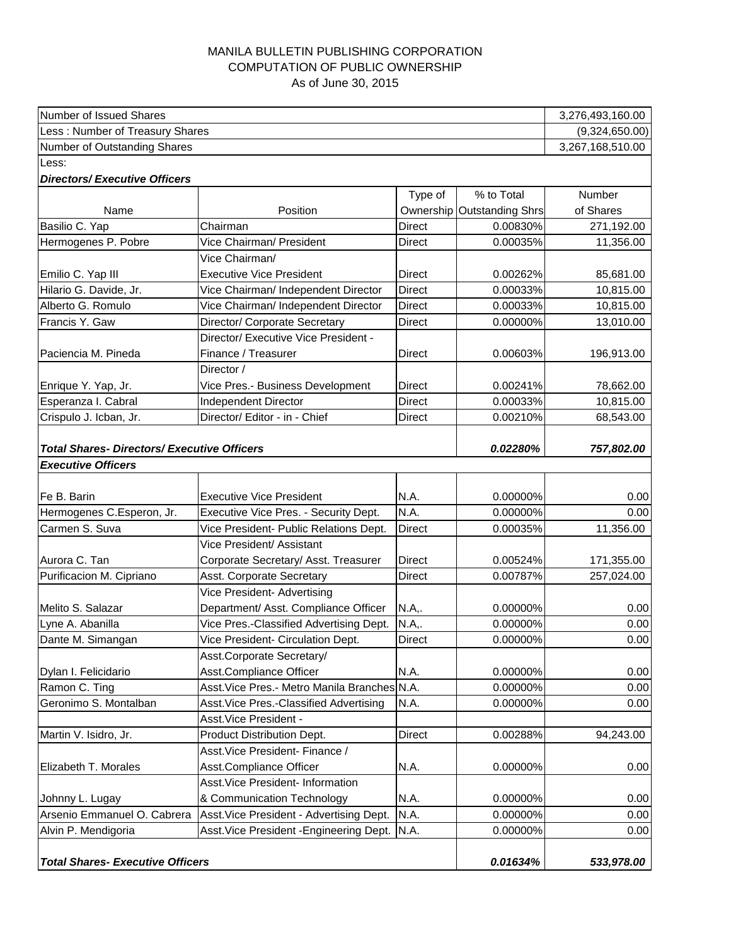## MANILA BULLETIN PUBLISHING CORPORATION COMPUTATION OF PUBLIC OWNERSHIP As of June 30, 2015

| Number of Issued Shares                            |                                                   |                                |                            | 3,276,493,160.00       |
|----------------------------------------------------|---------------------------------------------------|--------------------------------|----------------------------|------------------------|
| Less: Number of Treasury Shares                    |                                                   |                                |                            | (9,324,650.00)         |
| Number of Outstanding Shares                       | 3,267,168,510.00                                  |                                |                            |                        |
| Less:                                              |                                                   |                                |                            |                        |
| <b>Directors/Executive Officers</b>                |                                                   |                                |                            |                        |
|                                                    |                                                   | Type of                        | % to Total                 | Number                 |
| Name                                               | Position                                          |                                | Ownership Outstanding Shrs | of Shares              |
| Basilio C. Yap                                     | Chairman                                          | <b>Direct</b>                  | 0.00830%                   | 271,192.00             |
| Hermogenes P. Pobre                                | Vice Chairman/ President                          | Direct                         | 0.00035%                   | 11,356.00              |
|                                                    | Vice Chairman/<br><b>Executive Vice President</b> |                                |                            |                        |
| Emilio C. Yap III<br>Hilario G. Davide, Jr.        | Vice Chairman/ Independent Director               | <b>Direct</b><br><b>Direct</b> | 0.00262%<br>0.00033%       | 85,681.00<br>10,815.00 |
| Alberto G. Romulo                                  | Vice Chairman/ Independent Director               | <b>Direct</b>                  | 0.00033%                   | 10,815.00              |
| Francis Y. Gaw                                     | Director/ Corporate Secretary                     | <b>Direct</b>                  | 0.00000%                   | 13,010.00              |
|                                                    | Director/ Executive Vice President -              |                                |                            |                        |
| Paciencia M. Pineda                                | Finance / Treasurer                               | <b>Direct</b>                  | 0.00603%                   | 196,913.00             |
|                                                    | Director /                                        |                                |                            |                        |
|                                                    | Vice Pres.- Business Development                  | Direct                         | 0.00241%                   | 78,662.00              |
| Enrique Y. Yap, Jr.<br>Esperanza I. Cabral         | <b>Independent Director</b>                       | <b>Direct</b>                  | 0.00033%                   | 10,815.00              |
| Crispulo J. Icban, Jr.                             | Director/ Editor - in - Chief                     | <b>Direct</b>                  | 0.00210%                   | 68,543.00              |
|                                                    |                                                   |                                |                            |                        |
| <b>Total Shares- Directors/ Executive Officers</b> |                                                   |                                | 0.02280%                   | 757,802.00             |
| <b>Executive Officers</b>                          |                                                   |                                |                            |                        |
|                                                    |                                                   |                                |                            |                        |
| Fe B. Barin                                        | <b>Executive Vice President</b>                   | N.A.                           | 0.00000%                   | 0.00                   |
| Hermogenes C.Esperon, Jr.                          | Executive Vice Pres. - Security Dept.             | N.A.                           | 0.00000%                   | 0.00                   |
| Carmen S. Suva                                     | Vice President- Public Relations Dept.            | <b>Direct</b>                  | 0.00035%                   | 11,356.00              |
|                                                    | Vice President/ Assistant                         |                                |                            |                        |
| Aurora C. Tan                                      | Corporate Secretary/ Asst. Treasurer              | <b>Direct</b>                  | 0.00524%                   | 171,355.00             |
| Purificacion M. Cipriano                           | Asst. Corporate Secretary                         | <b>Direct</b>                  | 0.00787%                   | 257,024.00             |
|                                                    | Vice President- Advertising                       |                                |                            |                        |
| Melito S. Salazar                                  | Department/ Asst. Compliance Officer              | N.A,.                          | 0.00000%                   | 0.00                   |
| Lyne A. Abanilla                                   | Vice Pres.-Classified Advertising Dept.           | N.A,.                          | 0.00000%                   | 0.00                   |
| Dante M. Simangan                                  | Vice President- Circulation Dept.                 | Direct                         | 0.00000%                   | 0.00                   |
|                                                    | Asst.Corporate Secretary/                         |                                |                            |                        |
| Dylan I. Felicidario                               | Asst.Compliance Officer                           | N.A.                           | 0.00000%                   | 0.00                   |
| Ramon C. Ting                                      | Asst. Vice Pres.- Metro Manila Branches N.A.      |                                | 0.00000%                   | 0.00                   |
| Geronimo S. Montalban                              | Asst. Vice Pres.-Classified Advertising           | N.A.                           | 0.00000%                   | 0.00                   |
|                                                    | Asst. Vice President -                            |                                |                            |                        |
| Martin V. Isidro, Jr.                              | <b>Product Distribution Dept.</b>                 | <b>Direct</b>                  | 0.00288%                   | 94,243.00              |
|                                                    | Asst. Vice President- Finance /                   |                                |                            |                        |
| Elizabeth T. Morales                               | Asst.Compliance Officer                           | N.A.                           | 0.00000%                   | 0.00                   |
|                                                    | Asst. Vice President- Information                 |                                |                            |                        |
| Johnny L. Lugay                                    | & Communication Technology                        | N.A.                           | 0.00000%                   | 0.00                   |
| Arsenio Emmanuel O. Cabrera                        | Asst. Vice President - Advertising Dept.          | N.A.                           | 0.00000%                   | 0.00                   |
| Alvin P. Mendigoria                                | Asst. Vice President - Engineering Dept.          | N.A.                           | 0.00000%                   | 0.00                   |
|                                                    |                                                   |                                |                            |                        |
| <b>Total Shares- Executive Officers</b>            |                                                   |                                | 0.01634%                   | 533,978.00             |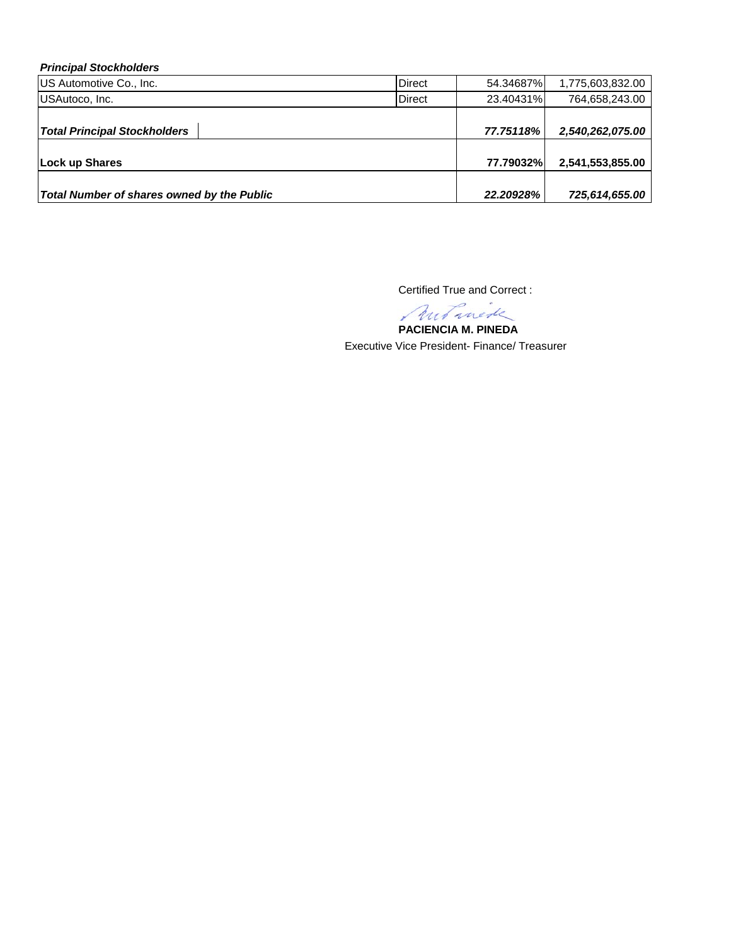## *Principal Stockholders*

| US Automotive Co., Inc.                    | <b>Direct</b> | 54.34687% | 1,775,603,832.00 |
|--------------------------------------------|---------------|-----------|------------------|
| USAutoco, Inc.                             | <b>Direct</b> | 23.40431% | 764,658,243.00   |
|                                            |               |           |                  |
| <b>Total Principal Stockholders</b>        |               | 77.75118% | 2,540,262,075.00 |
|                                            |               |           |                  |
| Lock up Shares                             |               | 77.79032% | 2,541,553,855.00 |
|                                            |               |           |                  |
| Total Number of shares owned by the Public |               | 22.20928% | 725,614,655.00   |

Certified True and Correct :

**PACIENCIA M. PINEDA**

Executive Vice President- Finance/ Treasurer